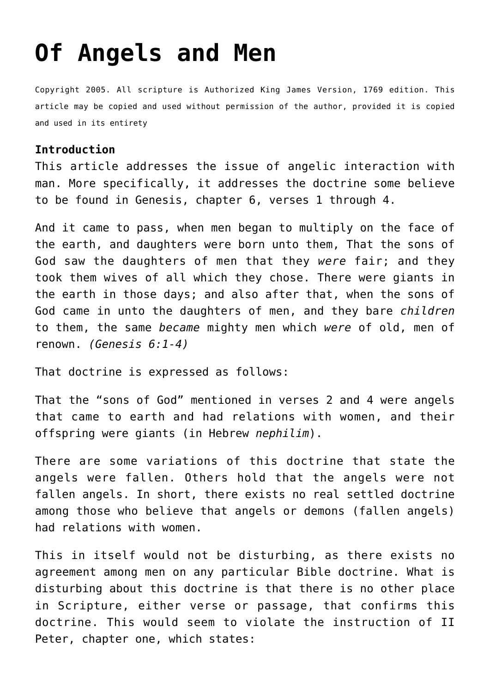# **[Of Angels and Men](http://reproachofmen.org/doctrines/of-angels-and-men/)**

Copyright 2005. All scripture is Authorized King James Version, 1769 edition. This article may be copied and used without permission of the author, provided it is copied and used in its entirety

#### **Introduction**

This article addresses the issue of angelic interaction with man. More specifically, it addresses the doctrine some believe to be found in Genesis, chapter 6, verses 1 through 4.

And it came to pass, when men began to multiply on the face of the earth, and daughters were born unto them, That the sons of God saw the daughters of men that they *were* fair; and they took them wives of all which they chose. There were giants in the earth in those days; and also after that, when the sons of God came in unto the daughters of men, and they bare *children* to them, the same *became* mighty men which *were* of old, men of renown. *(Genesis 6:1-4)*

That doctrine is expressed as follows:

That the "sons of God" mentioned in verses 2 and 4 were angels that came to earth and had relations with women, and their offspring were giants (in Hebrew *nephilim*).

There are some variations of this doctrine that state the angels were fallen. Others hold that the angels were not fallen angels. In short, there exists no real settled doctrine among those who believe that angels or demons (fallen angels) had relations with women.

This in itself would not be disturbing, as there exists no agreement among men on any particular Bible doctrine. What is disturbing about this doctrine is that there is no other place in Scripture, either verse or passage, that confirms this doctrine. This would seem to violate the instruction of II Peter, chapter one, which states: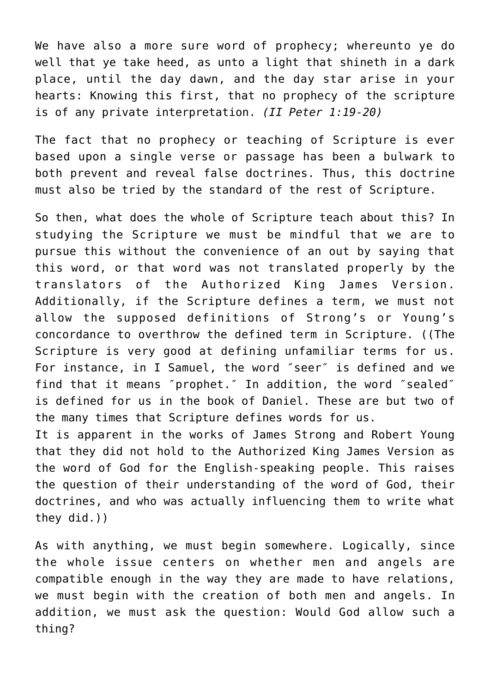We have also a more sure word of prophecy; whereunto ye do well that ye take heed, as unto a light that shineth in a dark place, until the day dawn, and the day star arise in your hearts: Knowing this first, that no prophecy of the scripture is of any private interpretation. *(II Peter 1:19-20)*

The fact that no prophecy or teaching of Scripture is ever based upon a single verse or passage has been a bulwark to both prevent and reveal false doctrines. Thus, this doctrine must also be tried by the standard of the rest of Scripture.

So then, what does the whole of Scripture teach about this? In studying the Scripture we must be mindful that we are to pursue this without the convenience of an out by saying that this word, or that word was not translated properly by the translators of the Authorized King James Version. Additionally, if the Scripture defines a term, we must not allow the supposed definitions of Strong's or Young's concordance to overthrow the defined term in Scripture. ((The Scripture is very good at defining unfamiliar terms for us. For instance, in I Samuel, the word ″seer″ is defined and we find that it means ″prophet.″ In addition, the word ″sealed″ is defined for us in the book of Daniel. These are but two of the many times that Scripture defines words for us. It is apparent in the works of James Strong and Robert Young

that they did not hold to the Authorized King James Version as the word of God for the English-speaking people. This raises the question of their understanding of the word of God, their doctrines, and who was actually influencing them to write what they did.))

As with anything, we must begin somewhere. Logically, since the whole issue centers on whether men and angels are compatible enough in the way they are made to have relations, we must begin with the creation of both men and angels. In addition, we must ask the question: Would God allow such a thing?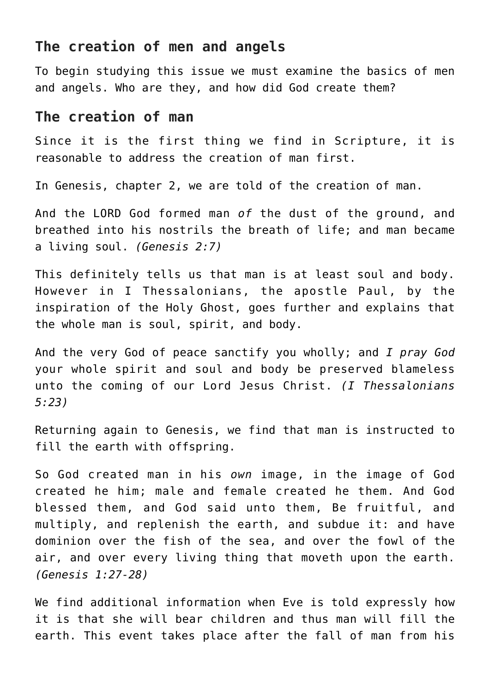#### **The creation of men and angels**

To begin studying this issue we must examine the basics of men and angels. Who are they, and how did God create them?

### **The creation of man**

Since it is the first thing we find in Scripture, it is reasonable to address the creation of man first.

In Genesis, chapter 2, we are told of the creation of man.

And the LORD God formed man *of* the dust of the ground, and breathed into his nostrils the breath of life; and man became a living soul. *(Genesis 2:7)*

This definitely tells us that man is at least soul and body. However in I Thessalonians, the apostle Paul, by the inspiration of the Holy Ghost, goes further and explains that the whole man is soul, spirit, and body.

And the very God of peace sanctify you wholly; and *I pray God* your whole spirit and soul and body be preserved blameless unto the coming of our Lord Jesus Christ. *(I Thessalonians 5:23)*

Returning again to Genesis, we find that man is instructed to fill the earth with offspring.

So God created man in his *own* image, in the image of God created he him; male and female created he them. And God blessed them, and God said unto them, Be fruitful, and multiply, and replenish the earth, and subdue it: and have dominion over the fish of the sea, and over the fowl of the air, and over every living thing that moveth upon the earth. *(Genesis 1:27-28)*

We find additional information when Eve is told expressly how it is that she will bear children and thus man will fill the earth. This event takes place after the fall of man from his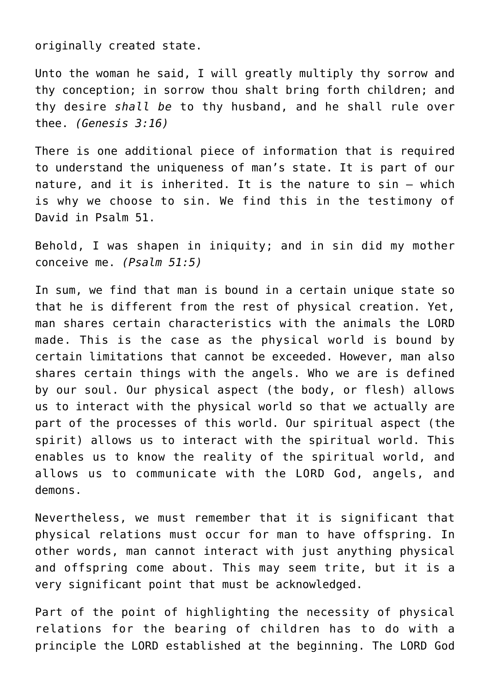originally created state.

Unto the woman he said, I will greatly multiply thy sorrow and thy conception; in sorrow thou shalt bring forth children; and thy desire *shall be* to thy husband, and he shall rule over thee. *(Genesis 3:16)*

There is one additional piece of information that is required to understand the uniqueness of man's state. It is part of our nature, and it is inherited. It is the nature to sin – which is why we choose to sin. We find this in the testimony of David in Psalm 51.

Behold, I was shapen in iniquity; and in sin did my mother conceive me. *(Psalm 51:5)*

In sum, we find that man is bound in a certain unique state so that he is different from the rest of physical creation. Yet, man shares certain characteristics with the animals the LORD made. This is the case as the physical world is bound by certain limitations that cannot be exceeded. However, man also shares certain things with the angels. Who we are is defined by our soul. Our physical aspect (the body, or flesh) allows us to interact with the physical world so that we actually are part of the processes of this world. Our spiritual aspect (the spirit) allows us to interact with the spiritual world. This enables us to know the reality of the spiritual world, and allows us to communicate with the LORD God, angels, and demons.

Nevertheless, we must remember that it is significant that physical relations must occur for man to have offspring. In other words, man cannot interact with just anything physical and offspring come about. This may seem trite, but it is a very significant point that must be acknowledged.

Part of the point of highlighting the necessity of physical relations for the bearing of children has to do with a principle the LORD established at the beginning. The LORD God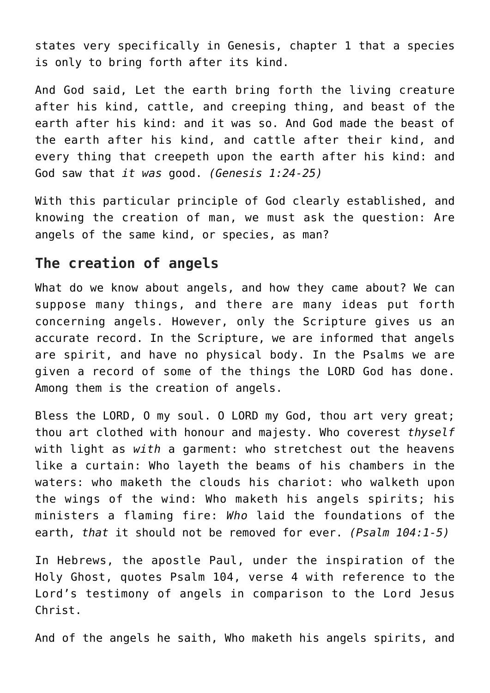states very specifically in Genesis, chapter 1 that a species is only to bring forth after its kind.

And God said, Let the earth bring forth the living creature after his kind, cattle, and creeping thing, and beast of the earth after his kind: and it was so. And God made the beast of the earth after his kind, and cattle after their kind, and every thing that creepeth upon the earth after his kind: and God saw that *it was* good. *(Genesis 1:24-25)*

With this particular principle of God clearly established, and knowing the creation of man, we must ask the question: Are angels of the same kind, or species, as man?

## **The creation of angels**

What do we know about angels, and how they came about? We can suppose many things, and there are many ideas put forth concerning angels. However, only the Scripture gives us an accurate record. In the Scripture, we are informed that angels are spirit, and have no physical body. In the Psalms we are given a record of some of the things the LORD God has done. Among them is the creation of angels.

Bless the LORD, O my soul. O LORD my God, thou art very great; thou art clothed with honour and majesty. Who coverest *thyself* with light as *with* a garment: who stretchest out the heavens like a curtain: Who layeth the beams of his chambers in the waters: who maketh the clouds his chariot: who walketh upon the wings of the wind: Who maketh his angels spirits; his ministers a flaming fire: *Who* laid the foundations of the earth, *that* it should not be removed for ever. *(Psalm 104:1-5)*

In Hebrews, the apostle Paul, under the inspiration of the Holy Ghost, quotes Psalm 104, verse 4 with reference to the Lord's testimony of angels in comparison to the Lord Jesus Christ.

And of the angels he saith, Who maketh his angels spirits, and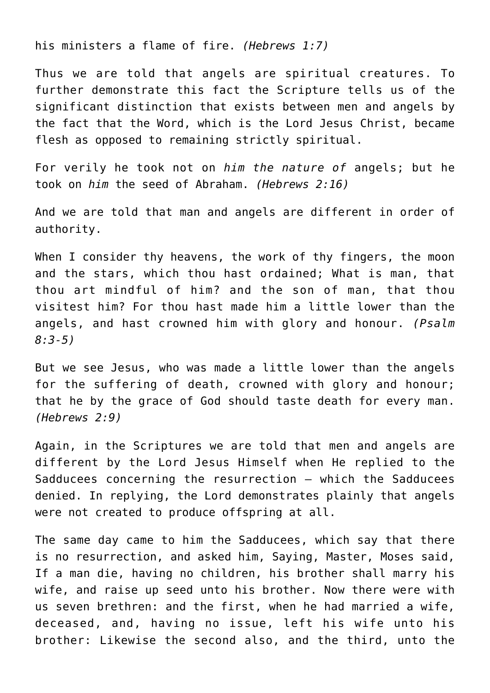his ministers a flame of fire. *(Hebrews 1:7)*

Thus we are told that angels are spiritual creatures. To further demonstrate this fact the Scripture tells us of the significant distinction that exists between men and angels by the fact that the Word, which is the Lord Jesus Christ, became flesh as opposed to remaining strictly spiritual.

For verily he took not on *him the nature of* angels; but he took on *him* the seed of Abraham. *(Hebrews 2:16)*

And we are told that man and angels are different in order of authority.

When I consider thy heavens, the work of thy fingers, the moon and the stars, which thou hast ordained; What is man, that thou art mindful of him? and the son of man, that thou visitest him? For thou hast made him a little lower than the angels, and hast crowned him with glory and honour. *(Psalm 8:3-5)*

But we see Jesus, who was made a little lower than the angels for the suffering of death, crowned with glory and honour; that he by the grace of God should taste death for every man. *(Hebrews 2:9)*

Again, in the Scriptures we are told that men and angels are different by the Lord Jesus Himself when He replied to the Sadducees concerning the resurrection – which the Sadducees denied. In replying, the Lord demonstrates plainly that angels were not created to produce offspring at all.

The same day came to him the Sadducees, which say that there is no resurrection, and asked him, Saying, Master, Moses said, If a man die, having no children, his brother shall marry his wife, and raise up seed unto his brother. Now there were with us seven brethren: and the first, when he had married a wife, deceased, and, having no issue, left his wife unto his brother: Likewise the second also, and the third, unto the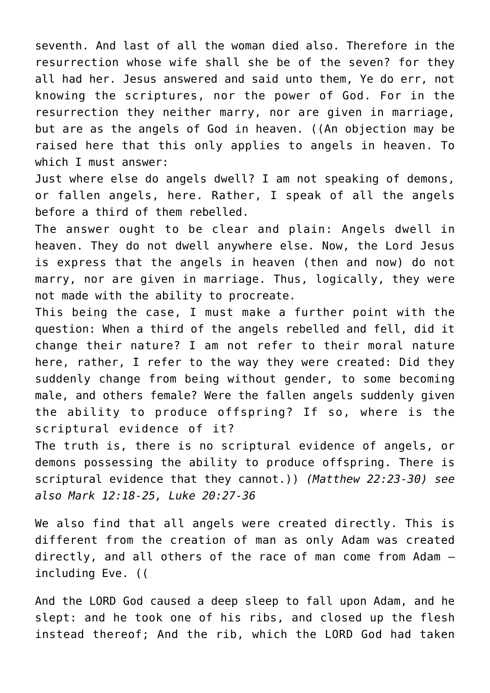seventh. And last of all the woman died also. Therefore in the resurrection whose wife shall she be of the seven? for they all had her. Jesus answered and said unto them, Ye do err, not knowing the scriptures, nor the power of God. For in the resurrection they neither marry, nor are given in marriage, but are as the angels of God in heaven. ((An objection may be raised here that this only applies to angels in heaven. To which I must answer:

Just where else do angels dwell? I am not speaking of demons, or fallen angels, here. Rather, I speak of all the angels before a third of them rebelled.

The answer ought to be clear and plain: Angels dwell in heaven. They do not dwell anywhere else. Now, the Lord Jesus is express that the angels in heaven (then and now) do not marry, nor are given in marriage. Thus, logically, they were not made with the ability to procreate.

This being the case, I must make a further point with the question: When a third of the angels rebelled and fell, did it change their nature? I am not refer to their moral nature here, rather, I refer to the way they were created: Did they suddenly change from being without gender, to some becoming male, and others female? Were the fallen angels suddenly given the ability to produce offspring? If so, where is the scriptural evidence of it?

The truth is, there is no scriptural evidence of angels, or demons possessing the ability to produce offspring. There is scriptural evidence that they cannot.)) *(Matthew 22:23-30) see also Mark 12:18-25, Luke 20:27-36*

We also find that all angels were created directly. This is different from the creation of man as only Adam was created directly, and all others of the race of man come from Adam – including Eve. ((

And the LORD God caused a deep sleep to fall upon Adam, and he slept: and he took one of his ribs, and closed up the flesh instead thereof; And the rib, which the LORD God had taken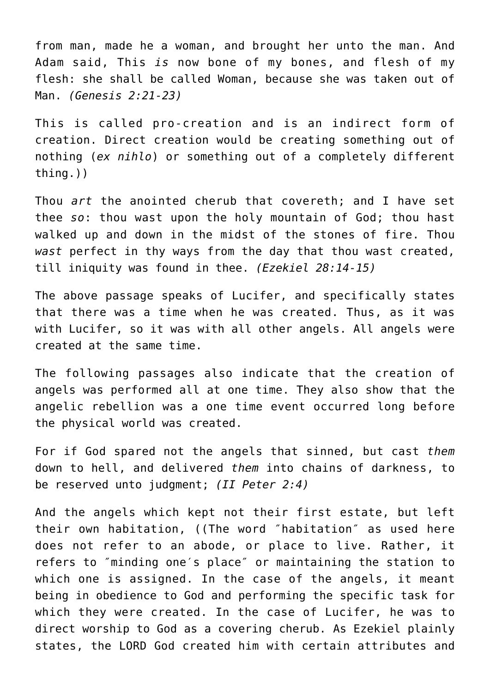from man, made he a woman, and brought her unto the man. And Adam said, This *is* now bone of my bones, and flesh of my flesh: she shall be called Woman, because she was taken out of Man. *(Genesis 2:21-23)*

This is called pro-creation and is an indirect form of creation. Direct creation would be creating something out of nothing (*ex nihlo*) or something out of a completely different thing.))

Thou *art* the anointed cherub that covereth; and I have set thee *so*: thou wast upon the holy mountain of God; thou hast walked up and down in the midst of the stones of fire. Thou *wast* perfect in thy ways from the day that thou wast created, till iniquity was found in thee. *(Ezekiel 28:14-15)*

The above passage speaks of Lucifer, and specifically states that there was a time when he was created. Thus, as it was with Lucifer, so it was with all other angels. All angels were created at the same time.

The following passages also indicate that the creation of angels was performed all at one time. They also show that the angelic rebellion was a one time event occurred long before the physical world was created.

For if God spared not the angels that sinned, but cast *them* down to hell, and delivered *them* into chains of darkness, to be reserved unto judgment; *(II Peter 2:4)*

And the angels which kept not their first estate, but left their own habitation, ((The word ″habitation″ as used here does not refer to an abode, or place to live. Rather, it refers to ″minding one′s place″ or maintaining the station to which one is assigned. In the case of the angels, it meant being in obedience to God and performing the specific task for which they were created. In the case of Lucifer, he was to direct worship to God as a covering cherub. As Ezekiel plainly states, the LORD God created him with certain attributes and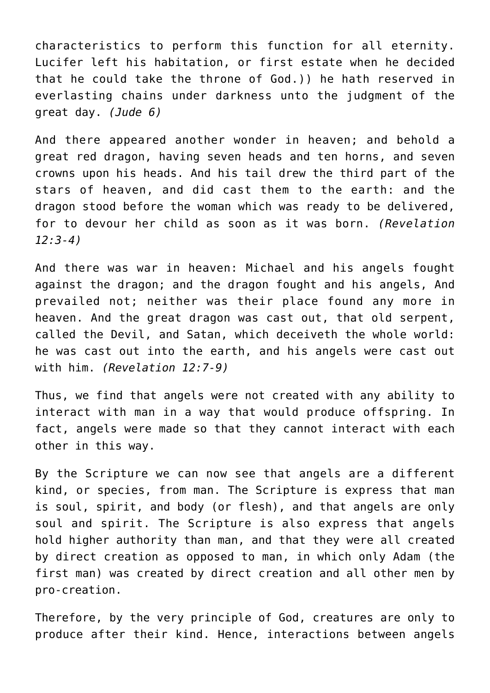characteristics to perform this function for all eternity. Lucifer left his habitation, or first estate when he decided that he could take the throne of God.)) he hath reserved in everlasting chains under darkness unto the judgment of the great day. *(Jude 6)*

And there appeared another wonder in heaven; and behold a great red dragon, having seven heads and ten horns, and seven crowns upon his heads. And his tail drew the third part of the stars of heaven, and did cast them to the earth: and the dragon stood before the woman which was ready to be delivered, for to devour her child as soon as it was born. *(Revelation 12:3-4)*

And there was war in heaven: Michael and his angels fought against the dragon; and the dragon fought and his angels, And prevailed not; neither was their place found any more in heaven. And the great dragon was cast out, that old serpent, called the Devil, and Satan, which deceiveth the whole world: he was cast out into the earth, and his angels were cast out with him. *(Revelation 12:7-9)*

Thus, we find that angels were not created with any ability to interact with man in a way that would produce offspring. In fact, angels were made so that they cannot interact with each other in this way.

By the Scripture we can now see that angels are a different kind, or species, from man. The Scripture is express that man is soul, spirit, and body (or flesh), and that angels are only soul and spirit. The Scripture is also express that angels hold higher authority than man, and that they were all created by direct creation as opposed to man, in which only Adam (the first man) was created by direct creation and all other men by pro-creation.

Therefore, by the very principle of God, creatures are only to produce after their kind. Hence, interactions between angels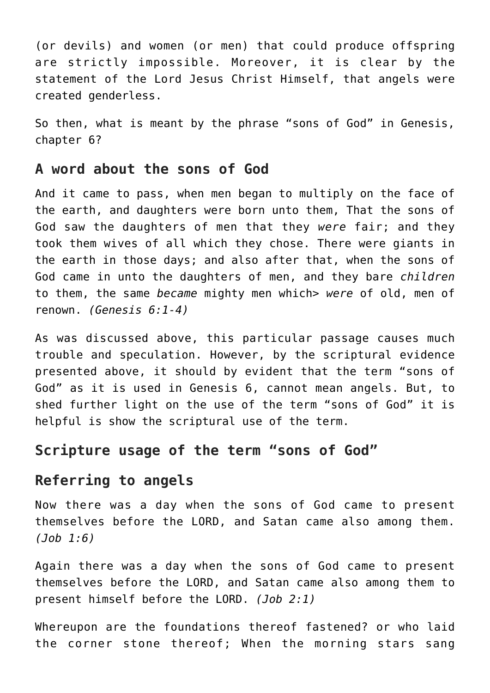(or devils) and women (or men) that could produce offspring are strictly impossible. Moreover, it is clear by the statement of the Lord Jesus Christ Himself, that angels were created genderless.

So then, what is meant by the phrase "sons of God" in Genesis, chapter 6?

#### **A word about the sons of God**

And it came to pass, when men began to multiply on the face of the earth, and daughters were born unto them, That the sons of God saw the daughters of men that they *were* fair; and they took them wives of all which they chose. There were giants in the earth in those days; and also after that, when the sons of God came in unto the daughters of men, and they bare *children* to them, the same *became* mighty men which> *were* of old, men of renown. *(Genesis 6:1-4)*

As was discussed above, this particular passage causes much trouble and speculation. However, by the scriptural evidence presented above, it should by evident that the term "sons of God" as it is used in Genesis 6, cannot mean angels. But, to shed further light on the use of the term "sons of God" it is helpful is show the scriptural use of the term.

#### **Scripture usage of the term "sons of God"**

## **Referring to angels**

Now there was a day when the sons of God came to present themselves before the LORD, and Satan came also among them. *(Job 1:6)*

Again there was a day when the sons of God came to present themselves before the LORD, and Satan came also among them to present himself before the LORD. *(Job 2:1)*

Whereupon are the foundations thereof fastened? or who laid the corner stone thereof; When the morning stars sang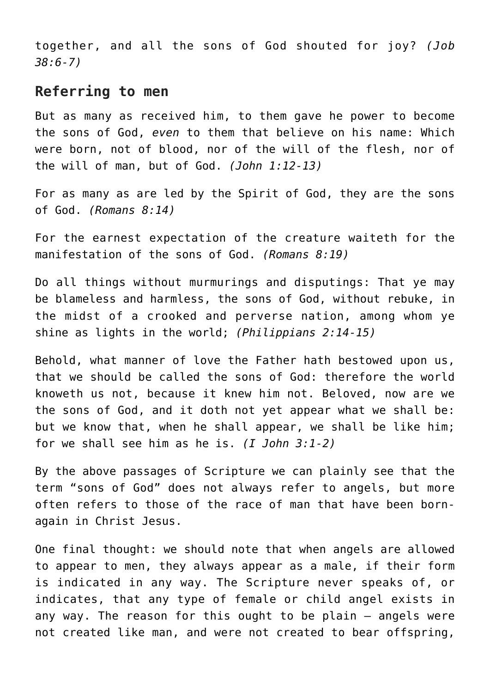together, and all the sons of God shouted for joy? *(Job 38:6-7)*

#### **Referring to men**

But as many as received him, to them gave he power to become the sons of God, *even* to them that believe on his name: Which were born, not of blood, nor of the will of the flesh, nor of the will of man, but of God. *(John 1:12-13)*

For as many as are led by the Spirit of God, they are the sons of God. *(Romans 8:14)*

For the earnest expectation of the creature waiteth for the manifestation of the sons of God. *(Romans 8:19)*

Do all things without murmurings and disputings: That ye may be blameless and harmless, the sons of God, without rebuke, in the midst of a crooked and perverse nation, among whom ye shine as lights in the world; *(Philippians 2:14-15)*

Behold, what manner of love the Father hath bestowed upon us, that we should be called the sons of God: therefore the world knoweth us not, because it knew him not. Beloved, now are we the sons of God, and it doth not yet appear what we shall be: but we know that, when he shall appear, we shall be like him; for we shall see him as he is. *(I John 3:1-2)*

By the above passages of Scripture we can plainly see that the term "sons of God" does not always refer to angels, but more often refers to those of the race of man that have been bornagain in Christ Jesus.

One final thought: we should note that when angels are allowed to appear to men, they always appear as a male, if their form is indicated in any way. The Scripture never speaks of, or indicates, that any type of female or child angel exists in any way. The reason for this ought to be plain – angels were not created like man, and were not created to bear offspring,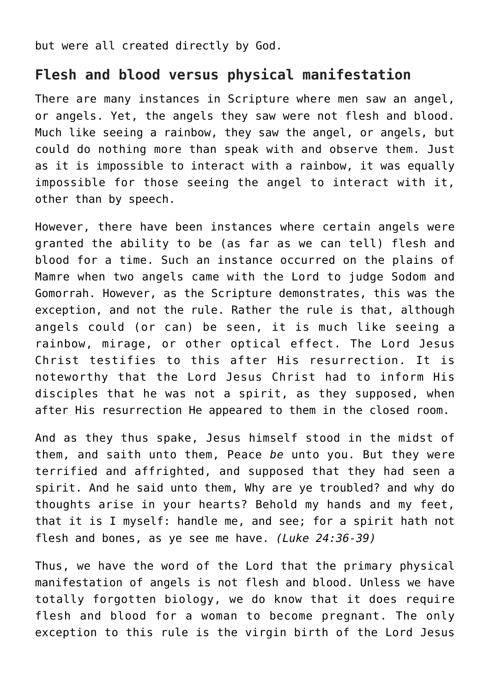but were all created directly by God.

## **Flesh and blood versus physical manifestation**

There are many instances in Scripture where men saw an angel, or angels. Yet, the angels they saw were not flesh and blood. Much like seeing a rainbow, they saw the angel, or angels, but could do nothing more than speak with and observe them. Just as it is impossible to interact with a rainbow, it was equally impossible for those seeing the angel to interact with it, other than by speech.

However, there have been instances where certain angels were granted the ability to be (as far as we can tell) flesh and blood for a time. Such an instance occurred on the plains of Mamre when two angels came with the Lord to judge Sodom and Gomorrah. However, as the Scripture demonstrates, this was the exception, and not the rule. Rather the rule is that, although angels could (or can) be seen, it is much like seeing a rainbow, mirage, or other optical effect. The Lord Jesus Christ testifies to this after His resurrection. It is noteworthy that the Lord Jesus Christ had to inform His disciples that he was not a spirit, as they supposed, when after His resurrection He appeared to them in the closed room.

And as they thus spake, Jesus himself stood in the midst of them, and saith unto them, Peace *be* unto you. But they were terrified and affrighted, and supposed that they had seen a spirit. And he said unto them, Why are ye troubled? and why do thoughts arise in your hearts? Behold my hands and my feet, that it is I myself: handle me, and see; for a spirit hath not flesh and bones, as ye see me have. *(Luke 24:36-39)*

Thus, we have the word of the Lord that the primary physical manifestation of angels is not flesh and blood. Unless we have totally forgotten biology, we do know that it does require flesh and blood for a woman to become pregnant. The only exception to this rule is the virgin birth of the Lord Jesus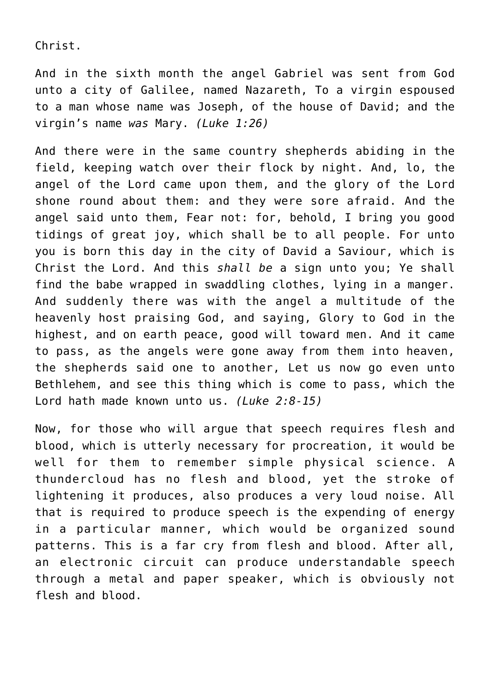Christ.

And in the sixth month the angel Gabriel was sent from God unto a city of Galilee, named Nazareth, To a virgin espoused to a man whose name was Joseph, of the house of David; and the virgin's name *was* Mary. *(Luke 1:26)*

And there were in the same country shepherds abiding in the field, keeping watch over their flock by night. And, lo, the angel of the Lord came upon them, and the glory of the Lord shone round about them: and they were sore afraid. And the angel said unto them, Fear not: for, behold, I bring you good tidings of great joy, which shall be to all people. For unto you is born this day in the city of David a Saviour, which is Christ the Lord. And this *shall be* a sign unto you; Ye shall find the babe wrapped in swaddling clothes, lying in a manger. And suddenly there was with the angel a multitude of the heavenly host praising God, and saying, Glory to God in the highest, and on earth peace, good will toward men. And it came to pass, as the angels were gone away from them into heaven, the shepherds said one to another, Let us now go even unto Bethlehem, and see this thing which is come to pass, which the Lord hath made known unto us. *(Luke 2:8-15)*

Now, for those who will argue that speech requires flesh and blood, which is utterly necessary for procreation, it would be well for them to remember simple physical science. A thundercloud has no flesh and blood, yet the stroke of lightening it produces, also produces a very loud noise. All that is required to produce speech is the expending of energy in a particular manner, which would be organized sound patterns. This is a far cry from flesh and blood. After all, an electronic circuit can produce understandable speech through a metal and paper speaker, which is obviously not flesh and blood.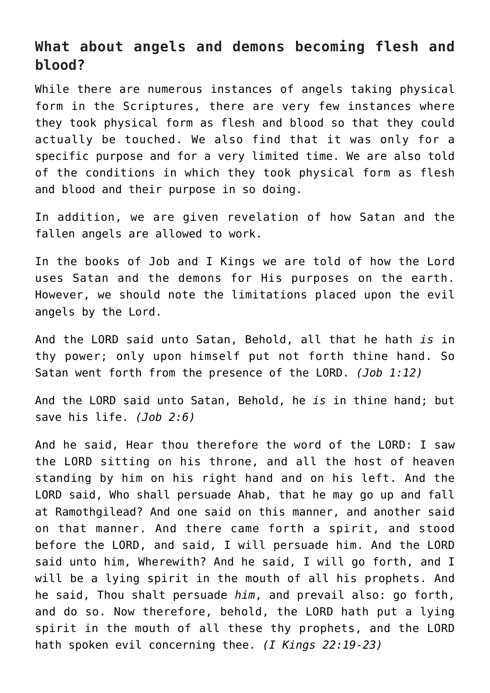## **What about angels and demons becoming flesh and blood?**

While there are numerous instances of angels taking physical form in the Scriptures, there are very few instances where they took physical form as flesh and blood so that they could actually be touched. We also find that it was only for a specific purpose and for a very limited time. We are also told of the conditions in which they took physical form as flesh and blood and their purpose in so doing.

In addition, we are given revelation of how Satan and the fallen angels are allowed to work.

In the books of Job and I Kings we are told of how the Lord uses Satan and the demons for His purposes on the earth. However, we should note the limitations placed upon the evil angels by the Lord.

And the LORD said unto Satan, Behold, all that he hath *is* in thy power; only upon himself put not forth thine hand. So Satan went forth from the presence of the LORD. *(Job 1:12)*

And the LORD said unto Satan, Behold, he *is* in thine hand; but save his life. *(Job 2:6)*

And he said, Hear thou therefore the word of the LORD: I saw the LORD sitting on his throne, and all the host of heaven standing by him on his right hand and on his left. And the LORD said, Who shall persuade Ahab, that he may go up and fall at Ramothgilead? And one said on this manner, and another said on that manner. And there came forth a spirit, and stood before the LORD, and said, I will persuade him. And the LORD said unto him, Wherewith? And he said, I will go forth, and I will be a lying spirit in the mouth of all his prophets. And he said, Thou shalt persuade *him*, and prevail also: go forth, and do so. Now therefore, behold, the LORD hath put a lying spirit in the mouth of all these thy prophets, and the LORD hath spoken evil concerning thee. *(I Kings 22:19-23)*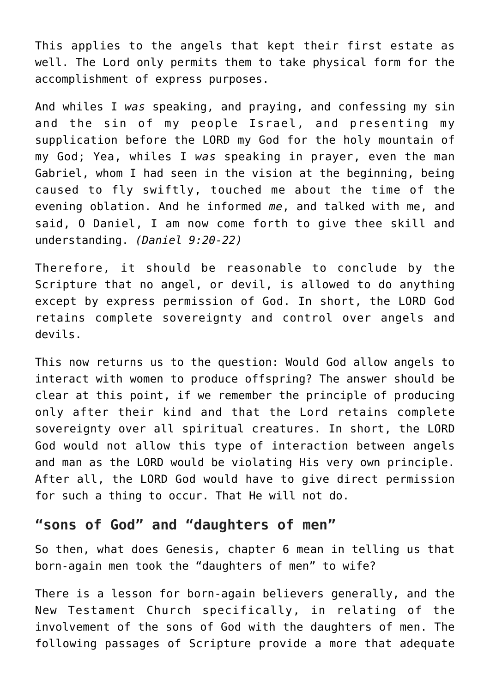This applies to the angels that kept their first estate as well. The Lord only permits them to take physical form for the accomplishment of express purposes.

And whiles I *was* speaking, and praying, and confessing my sin and the sin of my people Israel, and presenting my supplication before the LORD my God for the holy mountain of my God; Yea, whiles I *was* speaking in prayer, even the man Gabriel, whom I had seen in the vision at the beginning, being caused to fly swiftly, touched me about the time of the evening oblation. And he informed *me*, and talked with me, and said, O Daniel, I am now come forth to give thee skill and understanding. *(Daniel 9:20-22)*

Therefore, it should be reasonable to conclude by the Scripture that no angel, or devil, is allowed to do anything except by express permission of God. In short, the LORD God retains complete sovereignty and control over angels and devils.

This now returns us to the question: Would God allow angels to interact with women to produce offspring? The answer should be clear at this point, if we remember the principle of producing only after their kind and that the Lord retains complete sovereignty over all spiritual creatures. In short, the LORD God would not allow this type of interaction between angels and man as the LORD would be violating His very own principle. After all, the LORD God would have to give direct permission for such a thing to occur. That He will not do.

## **"sons of God" and "daughters of men"**

So then, what does Genesis, chapter 6 mean in telling us that born-again men took the "daughters of men" to wife?

There is a lesson for born-again believers generally, and the New Testament Church specifically, in relating of the involvement of the sons of God with the daughters of men. The following passages of Scripture provide a more that adequate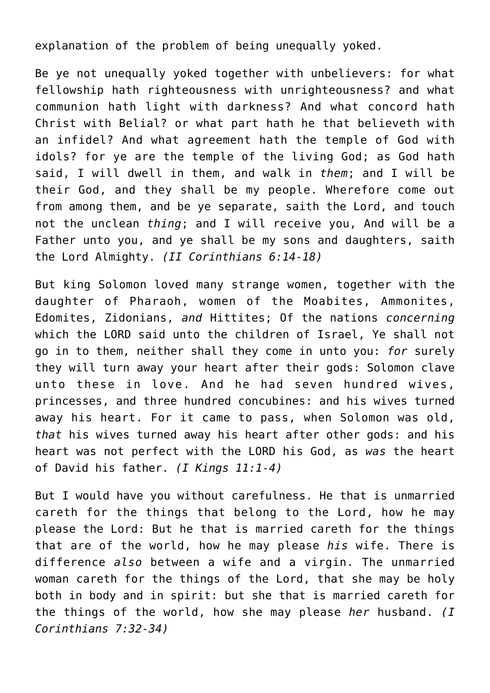explanation of the problem of being unequally yoked.

Be ye not unequally yoked together with unbelievers: for what fellowship hath righteousness with unrighteousness? and what communion hath light with darkness? And what concord hath Christ with Belial? or what part hath he that believeth with an infidel? And what agreement hath the temple of God with idols? for ye are the temple of the living God; as God hath said, I will dwell in them, and walk in *them*; and I will be their God, and they shall be my people. Wherefore come out from among them, and be ye separate, saith the Lord, and touch not the unclean *thing*; and I will receive you, And will be a Father unto you, and ye shall be my sons and daughters, saith the Lord Almighty. *(II Corinthians 6:14-18)*

But king Solomon loved many strange women, together with the daughter of Pharaoh, women of the Moabites, Ammonites, Edomites, Zidonians, *and* Hittites; Of the nations *concerning* which the LORD said unto the children of Israel, Ye shall not go in to them, neither shall they come in unto you: *for* surely they will turn away your heart after their gods: Solomon clave unto these in love. And he had seven hundred wives, princesses, and three hundred concubines: and his wives turned away his heart. For it came to pass, when Solomon was old, *that* his wives turned away his heart after other gods: and his heart was not perfect with the LORD his God, as *was* the heart of David his father. *(I Kings 11:1-4)*

But I would have you without carefulness. He that is unmarried careth for the things that belong to the Lord, how he may please the Lord: But he that is married careth for the things that are of the world, how he may please *his* wife. There is difference *also* between a wife and a virgin. The unmarried woman careth for the things of the Lord, that she may be holy both in body and in spirit: but she that is married careth for the things of the world, how she may please *her* husband. *(I Corinthians 7:32-34)*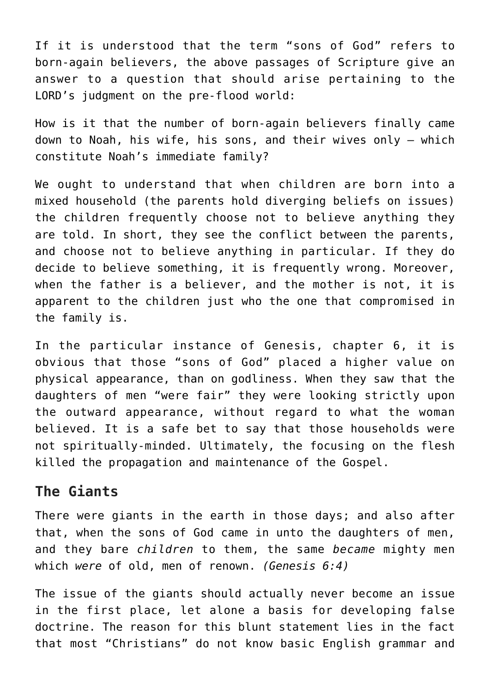If it is understood that the term "sons of God" refers to born-again believers, the above passages of Scripture give an answer to a question that should arise pertaining to the LORD's judgment on the pre-flood world:

How is it that the number of born-again believers finally came down to Noah, his wife, his sons, and their wives only – which constitute Noah's immediate family?

We ought to understand that when children are born into a mixed household (the parents hold diverging beliefs on issues) the children frequently choose not to believe anything they are told. In short, they see the conflict between the parents, and choose not to believe anything in particular. If they do decide to believe something, it is frequently wrong. Moreover, when the father is a believer, and the mother is not, it is apparent to the children just who the one that compromised in the family is.

In the particular instance of Genesis, chapter 6, it is obvious that those "sons of God" placed a higher value on physical appearance, than on godliness. When they saw that the daughters of men "were fair" they were looking strictly upon the outward appearance, without regard to what the woman believed. It is a safe bet to say that those households were not spiritually-minded. Ultimately, the focusing on the flesh killed the propagation and maintenance of the Gospel.

## **The Giants**

There were giants in the earth in those days; and also after that, when the sons of God came in unto the daughters of men, and they bare *children* to them, the same *became* mighty men which *were* of old, men of renown. *(Genesis 6:4)*

The issue of the giants should actually never become an issue in the first place, let alone a basis for developing false doctrine. The reason for this blunt statement lies in the fact that most "Christians" do not know basic English grammar and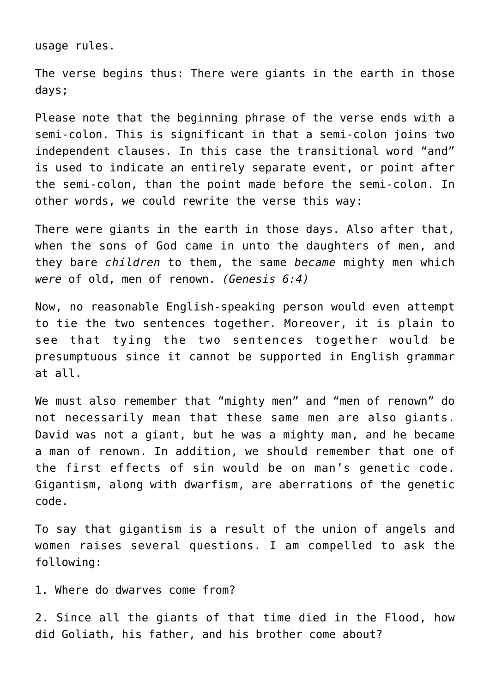usage rules.

The verse begins thus: There were giants in the earth in those days;

Please note that the beginning phrase of the verse ends with a semi-colon. This is significant in that a semi-colon joins two independent clauses. In this case the transitional word "and" is used to indicate an entirely separate event, or point after the semi-colon, than the point made before the semi-colon. In other words, we could rewrite the verse this way:

There were giants in the earth in those days. Also after that, when the sons of God came in unto the daughters of men, and they bare *children* to them, the same *became* mighty men which *were* of old, men of renown. *(Genesis 6:4)*

Now, no reasonable English-speaking person would even attempt to tie the two sentences together. Moreover, it is plain to see that tying the two sentences together would be presumptuous since it cannot be supported in English grammar at all.

We must also remember that "mighty men" and "men of renown" do not necessarily mean that these same men are also giants. David was not a giant, but he was a mighty man, and he became a man of renown. In addition, we should remember that one of the first effects of sin would be on man's genetic code. Gigantism, along with dwarfism, are aberrations of the genetic code.

To say that gigantism is a result of the union of angels and women raises several questions. I am compelled to ask the following:

1. Where do dwarves come from?

2. Since all the giants of that time died in the Flood, how did Goliath, his father, and his brother come about?